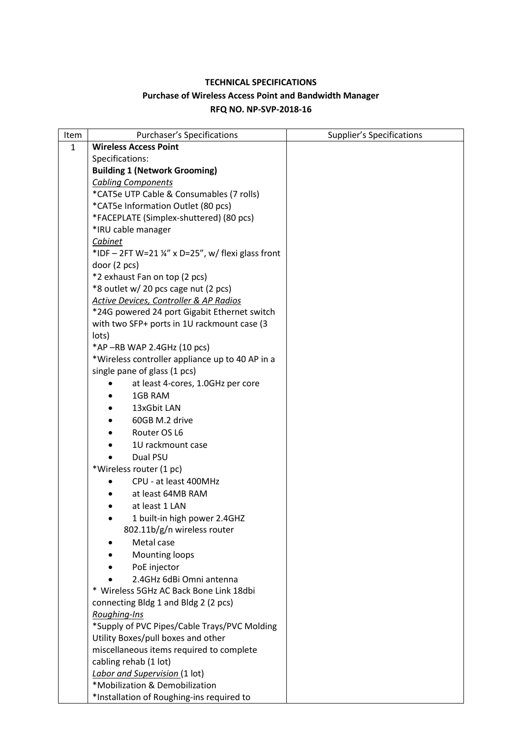# **TECHNICAL SPECIFICATIONS Purchase of Wireless Access Point and Bandwidth Manager RFQ NO. NP-SVP-2018-16**

| Item         | <b>Purchaser's Specifications</b>                             | <b>Supplier's Specifications</b> |
|--------------|---------------------------------------------------------------|----------------------------------|
| $\mathbf{1}$ | <b>Wireless Access Point</b>                                  |                                  |
|              | Specifications:                                               |                                  |
|              | <b>Building 1 (Network Grooming)</b>                          |                                  |
|              | <b>Cabling Components</b>                                     |                                  |
|              | *CAT5e UTP Cable & Consumables (7 rolls)                      |                                  |
|              | *CAT5e Information Outlet (80 pcs)                            |                                  |
|              | *FACEPLATE (Simplex-shuttered) (80 pcs)                       |                                  |
|              | *IRU cable manager                                            |                                  |
|              | Cabinet                                                       |                                  |
|              | *IDF - 2FT W=21 $\frac{1}{4}$ " x D=25", w/ flexi glass front |                                  |
|              | door(2 pcs)                                                   |                                  |
|              | *2 exhaust Fan on top (2 pcs)                                 |                                  |
|              | *8 outlet w/ 20 pcs cage nut (2 pcs)                          |                                  |
|              | <b>Active Devices, Controller &amp; AP Radios</b>             |                                  |
|              | *24G powered 24 port Gigabit Ethernet switch                  |                                  |
|              | with two SFP+ ports in 1U rackmount case (3                   |                                  |
|              | lots)                                                         |                                  |
|              | *AP-RB WAP 2.4GHz (10 pcs)                                    |                                  |
|              | *Wireless controller appliance up to 40 AP in a               |                                  |
|              | single pane of glass (1 pcs)                                  |                                  |
|              | at least 4-cores, 1.0GHz per core                             |                                  |
|              | 1GB RAM                                                       |                                  |
|              | 13xGbit LAN                                                   |                                  |
|              | 60GB M.2 drive                                                |                                  |
|              | Router OS L6                                                  |                                  |
|              | 1U rackmount case                                             |                                  |
|              | Dual PSU                                                      |                                  |
|              | *Wireless router (1 pc)                                       |                                  |
|              | CPU - at least 400MHz                                         |                                  |
|              | at least 64MB RAM                                             |                                  |
|              | at least 1 LAN                                                |                                  |
|              | 1 built-in high power 2.4GHZ                                  |                                  |
|              | 802.11b/g/n wireless router                                   |                                  |
|              | Metal case                                                    |                                  |
|              | <b>Mounting loops</b>                                         |                                  |
|              |                                                               |                                  |
|              | PoE injector                                                  |                                  |
|              | 2.4GHz 6dBi Omni antenna                                      |                                  |
|              | * Wireless 5GHz AC Back Bone Link 18dbi                       |                                  |
|              | connecting Bldg 1 and Bldg 2 (2 pcs)                          |                                  |
|              | Roughing-Ins                                                  |                                  |
|              | *Supply of PVC Pipes/Cable Trays/PVC Molding                  |                                  |
|              | Utility Boxes/pull boxes and other                            |                                  |
|              | miscellaneous items required to complete                      |                                  |
|              | cabling rehab (1 lot)                                         |                                  |
|              | Labor and Supervision (1 lot)                                 |                                  |
|              | *Mobilization & Demobilization                                |                                  |
|              | *Installation of Roughing-ins required to                     |                                  |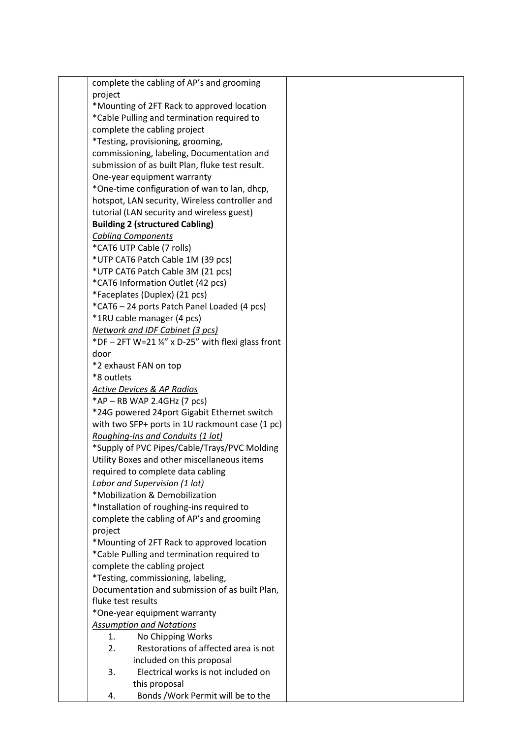complete the cabling of AP's and grooming project \*Mounting of 2FT Rack to approved location \*Cable Pulling and termination required to complete the cabling project \*Testing, provisioning, grooming, commissioning, labeling, Documentation and submission of as built Plan, fluke test result. One-year equipment warranty \*One-time configuration of wan to lan, dhcp, hotspot, LAN security, Wireless controller and tutorial (LAN security and wireless guest) **Building 2 (structured Cabling)** *Cabling Components* \*CAT6 UTP Cable (7 rolls) \*UTP CAT6 Patch Cable 1M (39 pcs) \*UTP CAT6 Patch Cable 3M (21 pcs) \*CAT6 Information Outlet (42 pcs) \*Faceplates (Duplex) (21 pcs) \*CAT6 – 24 ports Patch Panel Loaded (4 pcs) \*1RU cable manager (4 pcs) *Network and IDF Cabinet (3 pcs)* \*DF – 2FT W=21  $\frac{1}{4}$ " x D-25" with flexi glass front door \*2 exhaust FAN on top \*8 outlets *Active Devices & AP Radios*  $*AP - RB WAP 2.4GHz (7 pcs)$ \*24G powered 24port Gigabit Ethernet switch with two SFP+ ports in 1U rackmount case (1 pc) *Roughing-Ins and Conduits (1 lot)* \*Supply of PVC Pipes/Cable/Trays/PVC Molding Utility Boxes and other miscellaneous items required to complete data cabling *Labor and Supervision (1 lot)* \*Mobilization & Demobilization \*Installation of roughing-ins required to complete the cabling of AP's and grooming project \*Mounting of 2FT Rack to approved location \*Cable Pulling and termination required to complete the cabling project \*Testing, commissioning, labeling, Documentation and submission of as built Plan, fluke test results \*One-year equipment warranty *Assumption and Notations* 1. No Chipping Works 2. Restorations of affected area is not included on this proposal 3. Electrical works is not included on this proposal 4. Bonds /Work Permit will be to the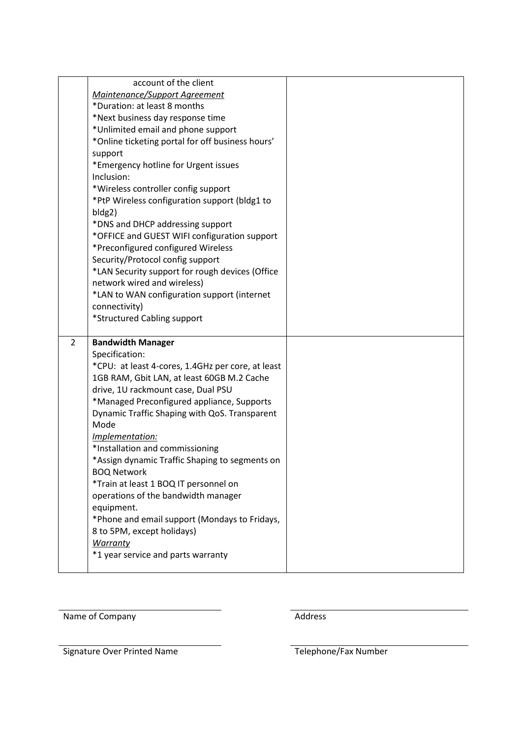|                | account of the client<br>Maintenance/Support Agreement<br>*Duration: at least 8 months<br>*Next business day response time<br>*Unlimited email and phone support<br>*Online ticketing portal for off business hours'<br>support<br>*Emergency hotline for Urgent issues<br>Inclusion:<br>*Wireless controller config support<br>*PtP Wireless configuration support (bldg1 to<br>bldg2)<br>*DNS and DHCP addressing support<br>*OFFICE and GUEST WIFI configuration support<br>*Preconfigured configured Wireless |  |
|----------------|-------------------------------------------------------------------------------------------------------------------------------------------------------------------------------------------------------------------------------------------------------------------------------------------------------------------------------------------------------------------------------------------------------------------------------------------------------------------------------------------------------------------|--|
|                | Security/Protocol config support<br>*LAN Security support for rough devices (Office<br>network wired and wireless)<br>*LAN to WAN configuration support (internet                                                                                                                                                                                                                                                                                                                                                 |  |
| $\overline{2}$ | connectivity)<br>*Structured Cabling support<br><b>Bandwidth Manager</b>                                                                                                                                                                                                                                                                                                                                                                                                                                          |  |
|                | Specification:<br>*CPU: at least 4-cores, 1.4GHz per core, at least<br>1GB RAM, Gbit LAN, at least 60GB M.2 Cache<br>drive, 1U rackmount case, Dual PSU<br>*Managed Preconfigured appliance, Supports<br>Dynamic Traffic Shaping with QoS. Transparent<br>Mode<br>Implementation:<br>*Installation and commissioning<br>*Assign dynamic Traffic Shaping to segments on<br><b>BOQ Network</b><br>*Train at least 1 BOQ IT personnel on                                                                             |  |
|                | operations of the bandwidth manager<br>equipment.<br>*Phone and email support (Mondays to Fridays,<br>8 to 5PM, except holidays)<br><b>Warranty</b><br>*1 year service and parts warranty                                                                                                                                                                                                                                                                                                                         |  |

Name of Company and Address

Signature Over Printed Name Telephone/Fax Number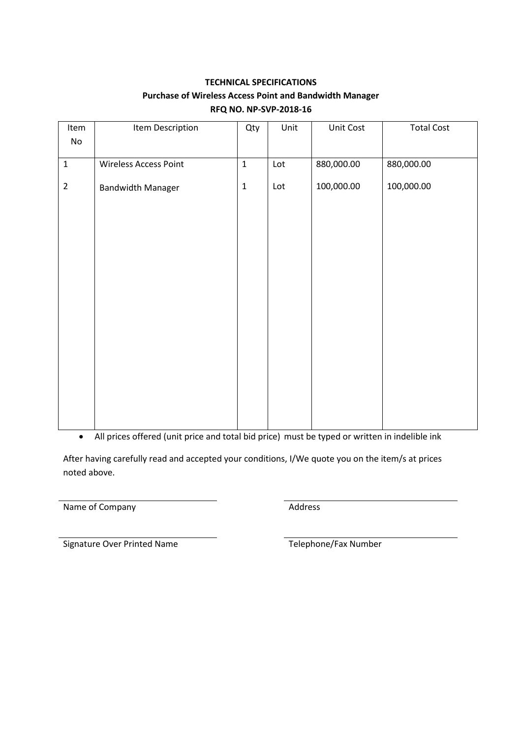# **TECHNICAL SPECIFICATIONS Purchase of Wireless Access Point and Bandwidth Manager RFQ NO. NP-SVP-2018-16**

| Item                         | Item Description         | Qty         | Unit | Unit Cost  | <b>Total Cost</b> |
|------------------------------|--------------------------|-------------|------|------------|-------------------|
| $\operatorname{\mathsf{No}}$ |                          |             |      |            |                   |
| $\mathbf 1$                  | Wireless Access Point    | $\mathbf 1$ | Lot  | 880,000.00 | 880,000.00        |
|                              |                          | $\mathbf 1$ |      |            |                   |
| $\overline{2}$               | <b>Bandwidth Manager</b> |             | Lot  | 100,000.00 | 100,000.00        |
|                              |                          |             |      |            |                   |
|                              |                          |             |      |            |                   |
|                              |                          |             |      |            |                   |
|                              |                          |             |      |            |                   |
|                              |                          |             |      |            |                   |
|                              |                          |             |      |            |                   |
|                              |                          |             |      |            |                   |
|                              |                          |             |      |            |                   |
|                              |                          |             |      |            |                   |
|                              |                          |             |      |            |                   |
|                              |                          |             |      |            |                   |
|                              |                          |             |      |            |                   |
|                              |                          |             |      |            |                   |
|                              |                          |             |      |            |                   |

All prices offered (unit price and total bid price) must be typed or written in indelible ink

After having carefully read and accepted your conditions, I/We quote you on the item/s at prices noted above.

Name of Company **Address** Address

Signature Over Printed Name